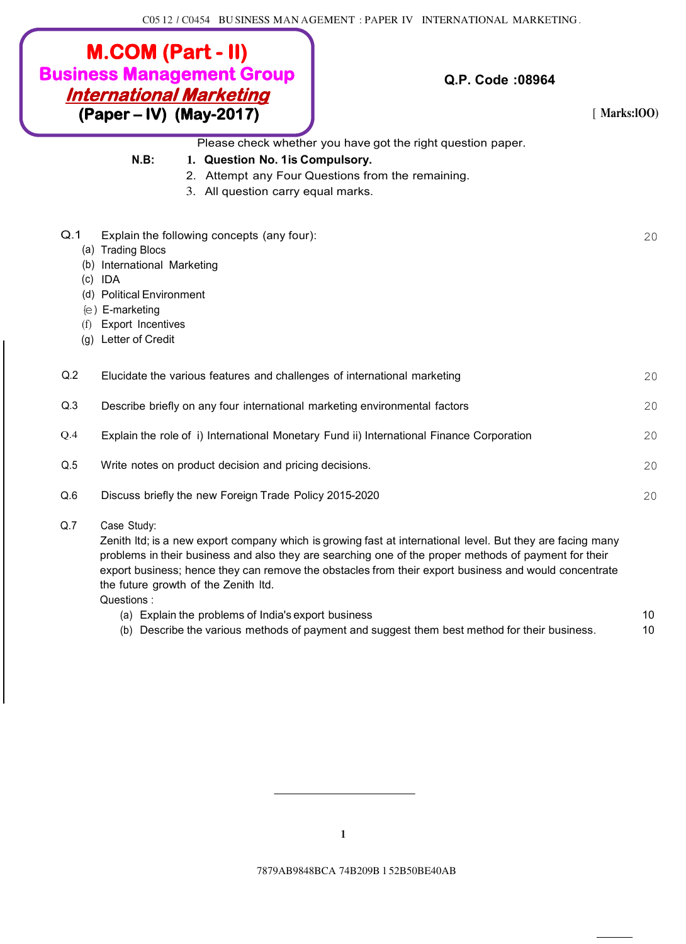|     | <b>M.COM (Part - II)</b><br><b>Business Management Group</b><br><b>International Marketing</b><br>(Paper – IV) (May-2017)                                                                                    | Q.P. Code: 08964<br>[Marks:100]                                                                                                                                                                                                                                                                                              |    |
|-----|--------------------------------------------------------------------------------------------------------------------------------------------------------------------------------------------------------------|------------------------------------------------------------------------------------------------------------------------------------------------------------------------------------------------------------------------------------------------------------------------------------------------------------------------------|----|
|     | $N.B$ :<br>1. Question No. 1 is Compulsory.<br>3. All question carry equal marks.                                                                                                                            | Please check whether you have got the right question paper.<br>2. Attempt any Four Questions from the remaining.                                                                                                                                                                                                             |    |
| Q.1 | Explain the following concepts (any four):<br>(a) Trading Blocs<br>(b) International Marketing<br>$(c)$ IDA<br>(d) Political Environment<br>(e) E-marketing<br>(f) Export Incentives<br>(g) Letter of Credit |                                                                                                                                                                                                                                                                                                                              | 20 |
| Q.2 | Elucidate the various features and challenges of international marketing                                                                                                                                     |                                                                                                                                                                                                                                                                                                                              | 20 |
| Q.3 | Describe briefly on any four international marketing environmental factors                                                                                                                                   |                                                                                                                                                                                                                                                                                                                              | 20 |
| Q.4 |                                                                                                                                                                                                              | Explain the role of i) International Monetary Fund ii) International Finance Corporation                                                                                                                                                                                                                                     | 20 |
| Q.5 | Write notes on product decision and pricing decisions.                                                                                                                                                       |                                                                                                                                                                                                                                                                                                                              | 20 |
| Q.6 | Discuss briefly the new Foreign Trade Policy 2015-2020                                                                                                                                                       |                                                                                                                                                                                                                                                                                                                              | 20 |
| Q.7 | Case Study:<br>the future growth of the Zenith Itd.<br>Questions:                                                                                                                                            | Zenith Itd; is a new export company which is growing fast at international level. But they are facing many<br>problems in their business and also they are searching one of the proper methods of payment for their<br>export business; hence they can remove the obstacles from their export business and would concentrate |    |

- (a) Explain the problems of India's export business 10
- (b) Describe the various methods of payment and suggest them best method for their business. 10

7879AB9848BCA 74B209B l 52B50BE40AB